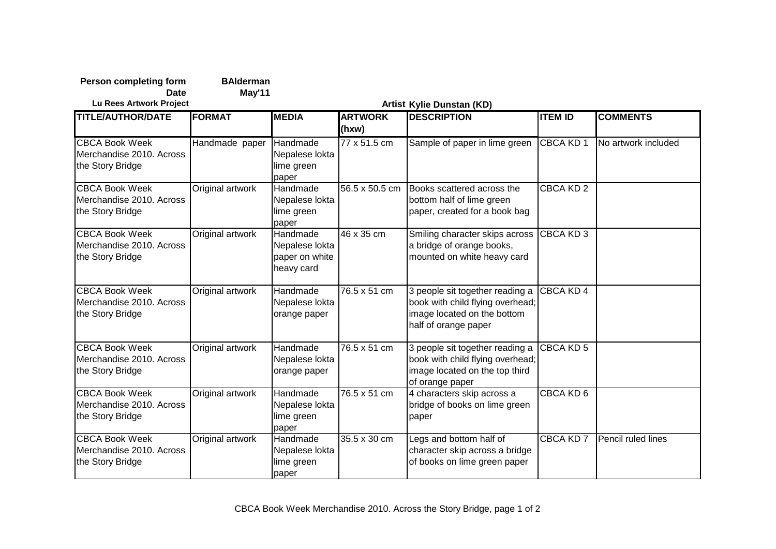| <b>Person completing form</b><br><b>Date</b>                          | <b>BAlderman</b><br>May'11 |                                                            |                         |                                                                                                                            |                  |                     |  |  |
|-----------------------------------------------------------------------|----------------------------|------------------------------------------------------------|-------------------------|----------------------------------------------------------------------------------------------------------------------------|------------------|---------------------|--|--|
| Lu Rees Artwork Project                                               | Artist Kylie Dunstan (KD)  |                                                            |                         |                                                                                                                            |                  |                     |  |  |
| <b>TITLE/AUTHOR/DATE</b>                                              | <b>FORMAT</b>              | <b>MEDIA</b>                                               | <b>ARTWORK</b><br>(hxw) | <b>DESCRIPTION</b>                                                                                                         | <b>ITEM ID</b>   | <b>COMMENTS</b>     |  |  |
| <b>CBCA Book Week</b><br>Merchandise 2010. Across<br>the Story Bridge | Handmade paper             | <b>Handmade</b><br>Nepalese lokta<br>lime green<br>paper   | 77 x 51.5 cm            | Sample of paper in lime green                                                                                              | CBCA KD 1        | No artwork included |  |  |
| <b>CBCA Book Week</b><br>Merchandise 2010, Across<br>the Story Bridge | Original artwork           | Handmade<br>Nepalese lokta<br>lime green<br>paper          | 56.5 x 50.5 cm          | Books scattered across the<br>bottom half of lime green<br>paper, created for a book bag                                   | <b>CBCA KD 2</b> |                     |  |  |
| <b>CBCA Book Week</b><br>Merchandise 2010. Across<br>the Story Bridge | Original artwork           | Handmade<br>Nepalese lokta<br>paper on white<br>heavy card | 46 x 35 cm              | Smiling character skips across<br>a bridge of orange books,<br>mounted on white heavy card                                 | CBCA KD 3        |                     |  |  |
| <b>CBCA Book Week</b><br>Merchandise 2010. Across<br>the Story Bridge | Original artwork           | Handmade<br>Nepalese lokta<br>orange paper                 | 76.5 x 51 cm            | 3 people sit together reading a<br>book with child flying overhead;<br>image located on the bottom<br>half of orange paper | CBCA KD 4        |                     |  |  |
| <b>CBCA Book Week</b><br>Merchandise 2010. Across<br>the Story Bridge | Original artwork           | Handmade<br>Nepalese lokta<br>orange paper                 | 76.5 x 51 cm            | 3 people sit together reading a<br>book with child flying overhead;<br>image located on the top third<br>of orange paper   | CBCA KD 5        |                     |  |  |
| <b>CBCA Book Week</b><br>Merchandise 2010. Across<br>the Story Bridge | Original artwork           | Handmade<br>Nepalese lokta<br>lime green<br>paper          | 76.5 x 51 cm            | 4 characters skip across a<br>bridge of books on lime green<br>paper                                                       | CBCA KD 6        |                     |  |  |
| <b>CBCA Book Week</b><br>Merchandise 2010. Across<br>the Story Bridge | Original artwork           | Handmade<br>Nepalese lokta<br>lime green<br>paper          | 35.5 x 30 cm            | Legs and bottom half of<br>character skip across a bridge<br>of books on lime green paper                                  | <b>CBCA KD 7</b> | Pencil ruled lines  |  |  |